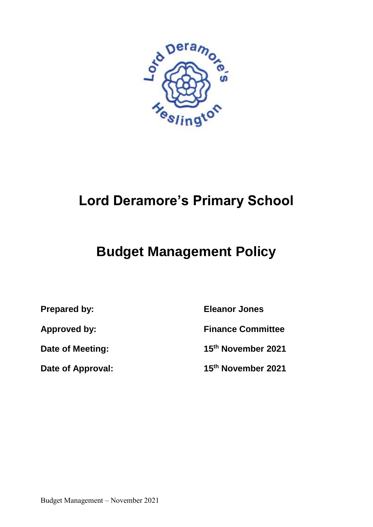

# **Lord Deramore's Primary School**

## **Budget Management Policy**

**Prepared by: Eleanor Jones**

**Approved by: Finance Committee**

**Date of Meeting: 15th November 2021**

**Date of Approval: 15th November 2021**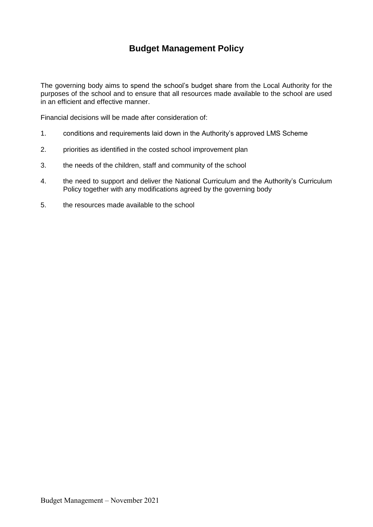## **Budget Management Policy**

The governing body aims to spend the school's budget share from the Local Authority for the purposes of the school and to ensure that all resources made available to the school are used in an efficient and effective manner.

Financial decisions will be made after consideration of:

- 1. conditions and requirements laid down in the Authority's approved LMS Scheme
- 2. priorities as identified in the costed school improvement plan
- 3. the needs of the children, staff and community of the school
- 4. the need to support and deliver the National Curriculum and the Authority's Curriculum Policy together with any modifications agreed by the governing body
- 5. the resources made available to the school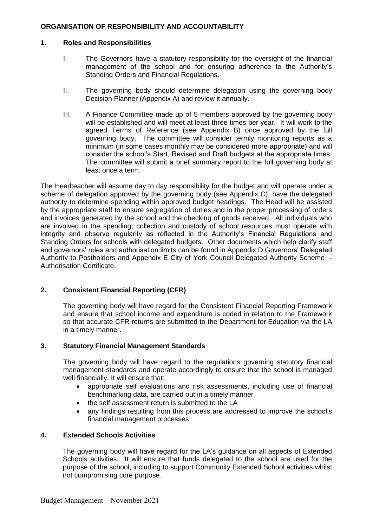## **ORGANISATION OF RESPONSIBILITY AND ACCOUNTABILITY**

## **1. Roles and Responsibilities**

- I. The Governors have a statutory responsibility for the oversight of the financial management of the school and for ensuring adherence to the Authority's Standing Orders and Financial Regulations.
- II. The governing body should determine delegation using the governing body Decision Planner (Appendix A) and review it annually.
- III. A Finance Committee made up of 5 members approved by the governing body will be established and will meet at least three times per year. It will work to the agreed Terms of Reference (see Appendix B) once approved by the full governing body. The committee will consider termly monitoring reports as a minimum (in some cases monthly may be considered more appropriate) and will consider the school's Start, Revised and Draft budgets at the appropriate times. The committee will submit a brief summary report to the full governing body at least once a term.

The Headteacher will assume day to day responsibility for the budget and will operate under a scheme of delegation approved by the governing body (see Appendix C), have the delegated authority to determine spending within approved budget headings. The Head will be assisted by the appropriate staff to ensure segregation of duties and in the proper processing of orders and invoices generated by the school and the checking of goods received. All individuals who are involved in the spending, collection and custody of school resources must operate with integrity and observe regularity as reflected in the Authority's Financial Regulations and Standing Orders for schools with delegated budgets. Other documents which help clarify staff and governors' roles and authorisation limits can be found in Appendix D Governors' Delegated Authority to Postholders and Appendix E City of York Council Delegated Authority Scheme - Authorisation Certificate.

## **2. Consistent Financial Reporting (CFR)**

The governing body will have regard for the Consistent Financial Reporting Framework and ensure that school income and expenditure is coded in relation to the Framework so that accurate CFR returns are submitted to the Department for Education via the LA in a timely manner.

## **3. Statutory Financial Management Standards**

The governing body will have regard to the regulations governing statutory financial management standards and operate accordingly to ensure that the school is managed well financially. It will ensure that:

- appropriate self evaluations and risk assessments, including use of financial benchmarking data, are carried out in a timely manner
- the self assessment return is submitted to the LA
- any findings resulting from this process are addressed to improve the school's financial management processes

## **4. Extended Schools Activities**

The governing body will have regard for the LA's guidance on all aspects of Extended Schools activities. It will ensure that funds delegated to the school are used for the purpose of the school, including to support Community Extended School activities whilst not compromising core purpose.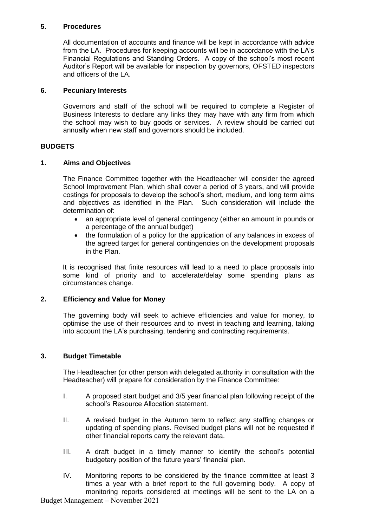## **5. Procedures**

All documentation of accounts and finance will be kept in accordance with advice from the LA. Procedures for keeping accounts will be in accordance with the LA's Financial Regulations and Standing Orders. A copy of the school's most recent Auditor's Report will be available for inspection by governors, OFSTED inspectors and officers of the LA.

## **6. Pecuniary Interests**

Governors and staff of the school will be required to complete a Register of Business Interests to declare any links they may have with any firm from which the school may wish to buy goods or services. A review should be carried out annually when new staff and governors should be included.

## **BUDGETS**

## **1. Aims and Objectives**

The Finance Committee together with the Headteacher will consider the agreed School Improvement Plan, which shall cover a period of 3 years, and will provide costings for proposals to develop the school's short, medium, and long term aims and objectives as identified in the Plan. Such consideration will include the determination of:

- an appropriate level of general contingency (either an amount in pounds or a percentage of the annual budget)
- the formulation of a policy for the application of any balances in excess of the agreed target for general contingencies on the development proposals in the Plan.

It is recognised that finite resources will lead to a need to place proposals into some kind of priority and to accelerate/delay some spending plans as circumstances change.

## **2. Efficiency and Value for Money**

The governing body will seek to achieve efficiencies and value for money, to optimise the use of their resources and to invest in teaching and learning, taking into account the LA's purchasing, tendering and contracting requirements.

## **3. Budget Timetable**

The Headteacher (or other person with delegated authority in consultation with the Headteacher) will prepare for consideration by the Finance Committee:

- I. A proposed start budget and 3/5 year financial plan following receipt of the school's Resource Allocation statement.
- II. A revised budget in the Autumn term to reflect any staffing changes or updating of spending plans. Revised budget plans will not be requested if other financial reports carry the relevant data.
- III. A draft budget in a timely manner to identify the school's potential budgetary position of the future years' financial plan.
- IV. Monitoring reports to be considered by the finance committee at least 3 times a year with a brief report to the full governing body. A copy of monitoring reports considered at meetings will be sent to the LA on a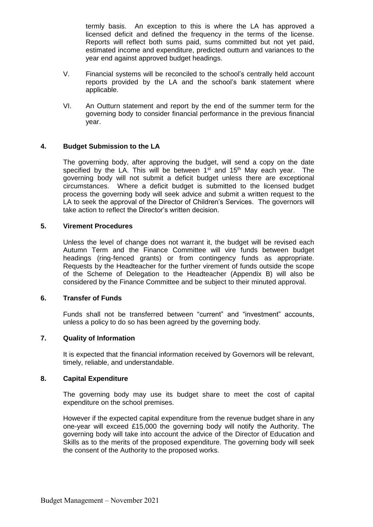termly basis. An exception to this is where the LA has approved a licensed deficit and defined the frequency in the terms of the license. Reports will reflect both sums paid, sums committed but not yet paid, estimated income and expenditure, predicted outturn and variances to the year end against approved budget headings.

- V. Financial systems will be reconciled to the school's centrally held account reports provided by the LA and the school's bank statement where applicable.
- VI. An Outturn statement and report by the end of the summer term for the governing body to consider financial performance in the previous financial year.

## **4. Budget Submission to the LA**

The governing body, after approving the budget, will send a copy on the date specified by the LA. This will be between  $1<sup>st</sup>$  and  $15<sup>th</sup>$  May each year. The governing body will not submit a deficit budget unless there are exceptional circumstances. Where a deficit budget is submitted to the licensed budget process the governing body will seek advice and submit a written request to the LA to seek the approval of the Director of Children's Services. The governors will take action to reflect the Director's written decision.

#### **5. Virement Procedures**

Unless the level of change does not warrant it, the budget will be revised each Autumn Term and the Finance Committee will vire funds between budget headings (ring-fenced grants) or from contingency funds as appropriate. Requests by the Headteacher for the further virement of funds outside the scope of the Scheme of Delegation to the Headteacher (Appendix B) will also be considered by the Finance Committee and be subject to their minuted approval.

## **6. Transfer of Funds**

Funds shall not be transferred between "current" and "investment" accounts, unless a policy to do so has been agreed by the governing body.

## **7. Quality of Information**

It is expected that the financial information received by Governors will be relevant, timely, reliable, and understandable.

#### **8. Capital Expenditure**

The governing body may use its budget share to meet the cost of capital expenditure on the school premises.

However if the expected capital expenditure from the revenue budget share in any one-year will exceed £15,000 the governing body will notify the Authority. The governing body will take into account the advice of the Director of Education and Skills as to the merits of the proposed expenditure. The governing body will seek the consent of the Authority to the proposed works.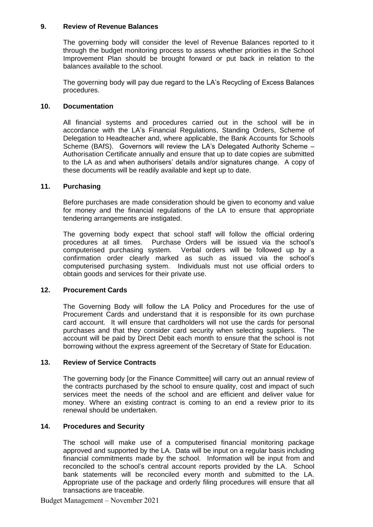## **9. Review of Revenue Balances**

The governing body will consider the level of Revenue Balances reported to it through the budget monitoring process to assess whether priorities in the School Improvement Plan should be brought forward or put back in relation to the balances available to the school.

The governing body will pay due regard to the LA's Recycling of Excess Balances procedures.

#### **10. Documentation**

All financial systems and procedures carried out in the school will be in accordance with the LA's Financial Regulations, Standing Orders, Scheme of Delegation to Headteacher and, where applicable, the Bank Accounts for Schools Scheme (BAfS). Governors will review the LA's Delegated Authority Scheme – Authorisation Certificate annually and ensure that up to date copies are submitted to the LA as and when authorisers' details and/or signatures change. A copy of these documents will be readily available and kept up to date.

#### **11. Purchasing**

Before purchases are made consideration should be given to economy and value for money and the financial regulations of the LA to ensure that appropriate tendering arrangements are instigated.

The governing body expect that school staff will follow the official ordering procedures at all times. Purchase Orders will be issued via the school's computerised purchasing system. Verbal orders will be followed up by a confirmation order clearly marked as such as issued via the school's computerised purchasing system. Individuals must not use official orders to obtain goods and services for their private use.

## **12. Procurement Cards**

The Governing Body will follow the LA Policy and Procedures for the use of Procurement Cards and understand that it is responsible for its own purchase card account. It will ensure that cardholders will not use the cards for personal purchases and that they consider card security when selecting suppliers. The account will be paid by Direct Debit each month to ensure that the school is not borrowing without the express agreement of the Secretary of State for Education.

#### **13. Review of Service Contracts**

The governing body [or the Finance Committee] will carry out an annual review of the contracts purchased by the school to ensure quality, cost and impact of such services meet the needs of the school and are efficient and deliver value for money. Where an existing contract is coming to an end a review prior to its renewal should be undertaken.

#### **14. Procedures and Security**

The school will make use of a computerised financial monitoring package approved and supported by the LA. Data will be input on a regular basis including financial commitments made by the school. Information will be input from and reconciled to the school's central account reports provided by the LA. School bank statements will be reconciled every month and submitted to the LA. Appropriate use of the package and orderly filing procedures will ensure that all transactions are traceable.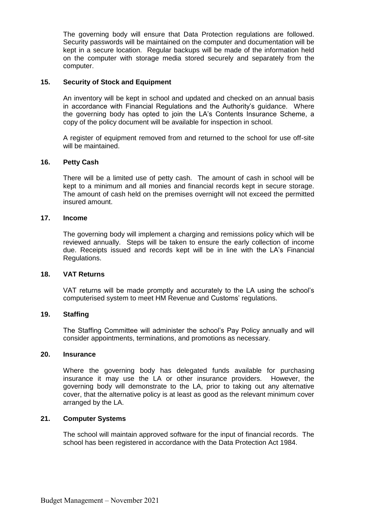The governing body will ensure that Data Protection regulations are followed. Security passwords will be maintained on the computer and documentation will be kept in a secure location. Regular backups will be made of the information held on the computer with storage media stored securely and separately from the computer.

## **15. Security of Stock and Equipment**

An inventory will be kept in school and updated and checked on an annual basis in accordance with Financial Regulations and the Authority's guidance. Where the governing body has opted to join the LA's Contents Insurance Scheme, a copy of the policy document will be available for inspection in school.

A register of equipment removed from and returned to the school for use off-site will be maintained.

#### **16. Petty Cash**

There will be a limited use of petty cash. The amount of cash in school will be kept to a minimum and all monies and financial records kept in secure storage. The amount of cash held on the premises overnight will not exceed the permitted insured amount.

#### **17. Income**

The governing body will implement a charging and remissions policy which will be reviewed annually. Steps will be taken to ensure the early collection of income due. Receipts issued and records kept will be in line with the LA's Financial Regulations.

#### **18. VAT Returns**

VAT returns will be made promptly and accurately to the LA using the school's computerised system to meet HM Revenue and Customs' regulations.

#### **19. Staffing**

The Staffing Committee will administer the school's Pay Policy annually and will consider appointments, terminations, and promotions as necessary.

#### **20. Insurance**

Where the governing body has delegated funds available for purchasing insurance it may use the LA or other insurance providers. However, the governing body will demonstrate to the LA, prior to taking out any alternative cover, that the alternative policy is at least as good as the relevant minimum cover arranged by the LA.

## **21. Computer Systems**

The school will maintain approved software for the input of financial records. The school has been registered in accordance with the Data Protection Act 1984.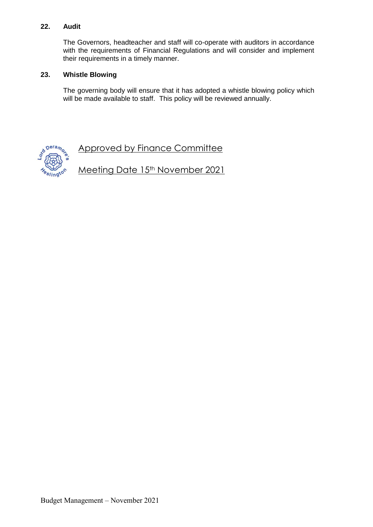## **22. Audit**

The Governors, headteacher and staff will co-operate with auditors in accordance with the requirements of Financial Regulations and will consider and implement their requirements in a timely manner.

## **23. Whistle Blowing**

The governing body will ensure that it has adopted a whistle blowing policy which will be made available to staff. This policy will be reviewed annually.



Approved by Finance Committee

Meeting Date 15<sup>th</sup> November 2021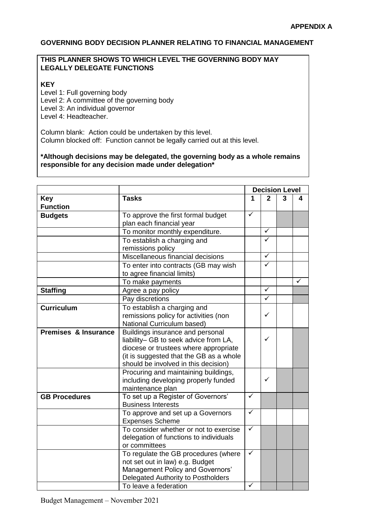## **GOVERNING BODY DECISION PLANNER RELATING TO FINANCIAL MANAGEMENT**

## **THIS PLANNER SHOWS TO WHICH LEVEL THE GOVERNING BODY MAY LEGALLY DELEGATE FUNCTIONS**

## **KEY**

Level 1: Full governing body Level 2: A committee of the governing body Level 3: An individual governor

Level 4: Headteacher.

Column blank: Action could be undertaken by this level. Column blocked off: Function cannot be legally carried out at this level.

**\*Although decisions may be delegated, the governing body as a whole remains responsible for any decision made under delegation\***

|                               |                                                                                                                                                                                                       | <b>Decision Level</b> |                         |   |   |  |
|-------------------------------|-------------------------------------------------------------------------------------------------------------------------------------------------------------------------------------------------------|-----------------------|-------------------------|---|---|--|
| <b>Key</b><br><b>Function</b> | <b>Tasks</b>                                                                                                                                                                                          | 1                     | $\mathbf{2}$            | 3 | 4 |  |
| <b>Budgets</b>                | To approve the first formal budget<br>plan each financial year                                                                                                                                        | $\checkmark$          |                         |   |   |  |
|                               | To monitor monthly expenditure.                                                                                                                                                                       |                       | ✓                       |   |   |  |
|                               | To establish a charging and<br>remissions policy                                                                                                                                                      |                       | ✓                       |   |   |  |
|                               | Miscellaneous financial decisions                                                                                                                                                                     |                       | ✓                       |   |   |  |
|                               | To enter into contracts (GB may wish<br>to agree financial limits)                                                                                                                                    |                       | ✓                       |   |   |  |
|                               | To make payments                                                                                                                                                                                      |                       |                         |   |   |  |
| <b>Staffing</b>               | Agree a pay policy                                                                                                                                                                                    |                       | ✓                       |   |   |  |
|                               | Pay discretions                                                                                                                                                                                       |                       | $\overline{\checkmark}$ |   |   |  |
| <b>Curriculum</b>             | To establish a charging and<br>remissions policy for activities (non<br>National Curriculum based)                                                                                                    |                       | ✓                       |   |   |  |
| Premises & Insurance          | Buildings insurance and personal<br>liability- GB to seek advice from LA,<br>diocese or trustees where appropriate<br>(it is suggested that the GB as a whole<br>should be involved in this decision) |                       | ✓                       |   |   |  |
|                               | Procuring and maintaining buildings,<br>including developing properly funded<br>maintenance plan                                                                                                      |                       | ✓                       |   |   |  |
| <b>GB Procedures</b>          | To set up a Register of Governors'<br><b>Business Interests</b>                                                                                                                                       | $\checkmark$          |                         |   |   |  |
|                               | To approve and set up a Governors<br><b>Expenses Scheme</b>                                                                                                                                           | $\checkmark$          |                         |   |   |  |
|                               | To consider whether or not to exercise<br>delegation of functions to individuals<br>or committees                                                                                                     | $\checkmark$          |                         |   |   |  |
|                               | To regulate the GB procedures (where<br>not set out in law) e.g. Budget<br>Management Policy and Governors'<br>Delegated Authority to Postholders<br>To leave a federation                            | $\checkmark$<br>✓     |                         |   |   |  |
|                               |                                                                                                                                                                                                       |                       |                         |   |   |  |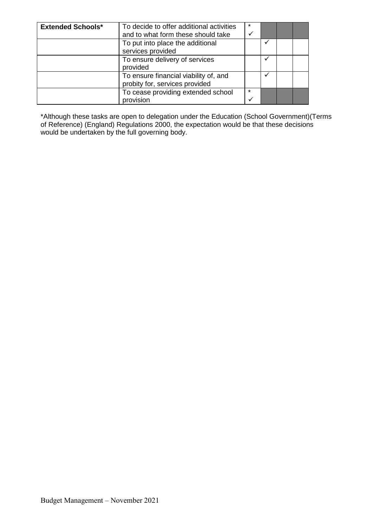| <b>Extended Schools*</b> | To decide to offer additional activities<br>and to what form these should take | $\star$<br>v |  |  |
|--------------------------|--------------------------------------------------------------------------------|--------------|--|--|
|                          | To put into place the additional<br>services provided                          |              |  |  |
|                          | To ensure delivery of services<br>provided                                     |              |  |  |
|                          | To ensure financial viability of, and<br>probity for, services provided        |              |  |  |
|                          | To cease providing extended school<br>provision                                | $\star$<br>v |  |  |

\*Although these tasks are open to delegation under the Education (School Government)(Terms of Reference) (England) Regulations 2000, the expectation would be that these decisions would be undertaken by the full governing body.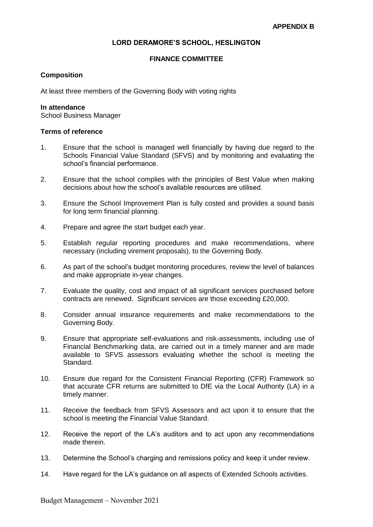## **LORD DERAMORE'S SCHOOL, HESLINGTON**

## **FINANCE COMMITTEE**

#### **Composition**

At least three members of the Governing Body with voting rights

#### **In attendance**

School Business Manager

#### **Terms of reference**

- 1. Ensure that the school is managed well financially by having due regard to the Schools Financial Value Standard (SFVS) and by monitoring and evaluating the school's financial performance.
- 2. Ensure that the school complies with the principles of Best Value when making decisions about how the school's available resources are utilised.
- 3. Ensure the School Improvement Plan is fully costed and provides a sound basis for long term financial planning.
- 4. Prepare and agree the start budget each year.
- 5. Establish regular reporting procedures and make recommendations, where necessary (including virement proposals), to the Governing Body.
- 6. As part of the school's budget monitoring procedures, review the level of balances and make appropriate in-year changes.
- 7. Evaluate the quality, cost and impact of all significant services purchased before contracts are renewed. Significant services are those exceeding £20,000.
- 8. Consider annual insurance requirements and make recommendations to the Governing Body.
- 9. Ensure that appropriate self-evaluations and risk-assessments, including use of Financial Benchmarking data, are carried out in a timely manner and are made available to SFVS assessors evaluating whether the school is meeting the Standard.
- 10. Ensure due regard for the Consistent Financial Reporting (CFR) Framework so that accurate CFR returns are submitted to DfE via the Local Authority (LA) in a timely manner.
- 11. Receive the feedback from SFVS Assessors and act upon it to ensure that the school is meeting the Financial Value Standard.
- 12. Receive the report of the LA's auditors and to act upon any recommendations made therein.
- 13. Determine the School's charging and remissions policy and keep it under review.
- 14. Have regard for the LA's guidance on all aspects of Extended Schools activities.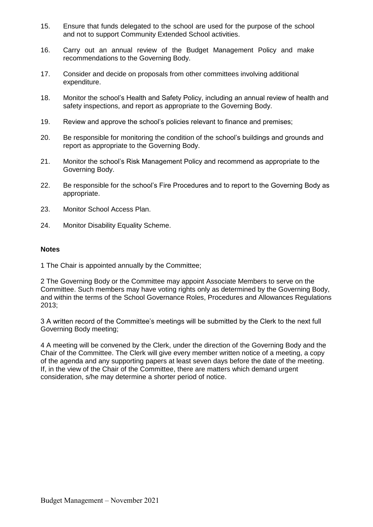- 15. Ensure that funds delegated to the school are used for the purpose of the school and not to support Community Extended School activities.
- 16. Carry out an annual review of the Budget Management Policy and make recommendations to the Governing Body.
- 17. Consider and decide on proposals from other committees involving additional expenditure.
- 18. Monitor the school's Health and Safety Policy, including an annual review of health and safety inspections, and report as appropriate to the Governing Body.
- 19. Review and approve the school's policies relevant to finance and premises;
- 20. Be responsible for monitoring the condition of the school's buildings and grounds and report as appropriate to the Governing Body.
- 21. Monitor the school's Risk Management Policy and recommend as appropriate to the Governing Body.
- 22. Be responsible for the school's Fire Procedures and to report to the Governing Body as appropriate.
- 23. Monitor School Access Plan.
- 24. Monitor Disability Equality Scheme.

#### **Notes**

1 The Chair is appointed annually by the Committee;

2 The Governing Body or the Committee may appoint Associate Members to serve on the Committee. Such members may have voting rights only as determined by the Governing Body, and within the terms of the School Governance Roles, Procedures and Allowances Regulations 2013;

3 A written record of the Committee's meetings will be submitted by the Clerk to the next full Governing Body meeting;

4 A meeting will be convened by the Clerk, under the direction of the Governing Body and the Chair of the Committee. The Clerk will give every member written notice of a meeting, a copy of the agenda and any supporting papers at least seven days before the date of the meeting. If, in the view of the Chair of the Committee, there are matters which demand urgent consideration, s/he may determine a shorter period of notice.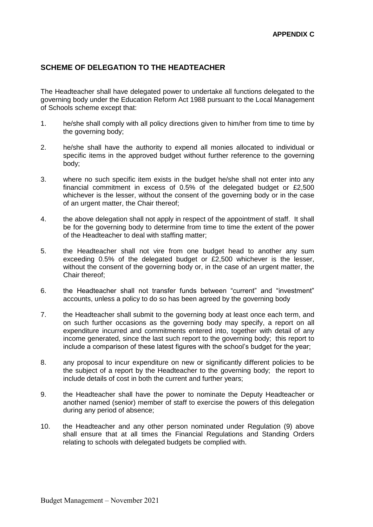## **SCHEME OF DELEGATION TO THE HEADTEACHER**

The Headteacher shall have delegated power to undertake all functions delegated to the governing body under the Education Reform Act 1988 pursuant to the Local Management of Schools scheme except that:

- 1. he/she shall comply with all policy directions given to him/her from time to time by the governing body;
- 2. he/she shall have the authority to expend all monies allocated to individual or specific items in the approved budget without further reference to the governing body;
- 3. where no such specific item exists in the budget he/she shall not enter into any financial commitment in excess of 0.5% of the delegated budget or £2,500 whichever is the lesser, without the consent of the governing body or in the case of an urgent matter, the Chair thereof;
- 4. the above delegation shall not apply in respect of the appointment of staff. It shall be for the governing body to determine from time to time the extent of the power of the Headteacher to deal with staffing matter;
- 5. the Headteacher shall not vire from one budget head to another any sum exceeding 0.5% of the delegated budget or £2,500 whichever is the lesser, without the consent of the governing body or, in the case of an urgent matter, the Chair thereof;
- 6. the Headteacher shall not transfer funds between "current" and "investment" accounts, unless a policy to do so has been agreed by the governing body
- 7. the Headteacher shall submit to the governing body at least once each term, and on such further occasions as the governing body may specify, a report on all expenditure incurred and commitments entered into, together with detail of any income generated, since the last such report to the governing body; this report to include a comparison of these latest figures with the school's budget for the year;
- 8. any proposal to incur expenditure on new or significantly different policies to be the subject of a report by the Headteacher to the governing body; the report to include details of cost in both the current and further years;
- 9. the Headteacher shall have the power to nominate the Deputy Headteacher or another named (senior) member of staff to exercise the powers of this delegation during any period of absence;
- 10. the Headteacher and any other person nominated under Regulation (9) above shall ensure that at all times the Financial Regulations and Standing Orders relating to schools with delegated budgets be complied with.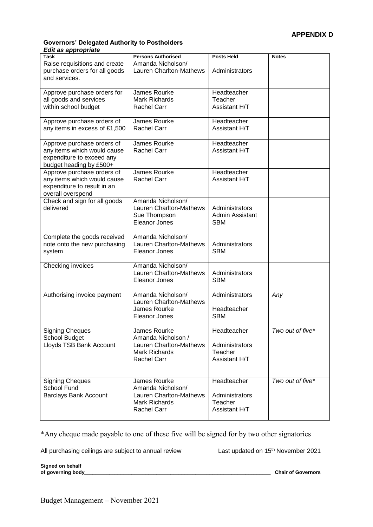#### **Governors' Delegated Authority to Postholders** *Edit as appropriate*

| uu uppi upi m.u<br>Task                                                                                           | <b>Persons Authorised</b>                                                                                   | <b>Posts Held</b>                                         | <b>Notes</b>     |
|-------------------------------------------------------------------------------------------------------------------|-------------------------------------------------------------------------------------------------------------|-----------------------------------------------------------|------------------|
| Raise requisitions and create<br>purchase orders for all goods<br>and services.                                   | Amanda Nicholson/<br>Lauren Charlton-Mathews                                                                | Administrators                                            |                  |
| Approve purchase orders for<br>all goods and services<br>within school budget                                     | James Rourke<br><b>Mark Richards</b><br><b>Rachel Carr</b>                                                  | Headteacher<br>Teacher<br>Assistant H/T                   |                  |
| Approve purchase orders of<br>any items in excess of £1,500                                                       | James Rourke<br><b>Rachel Carr</b>                                                                          | Headteacher<br>Assistant H/T                              |                  |
| Approve purchase orders of<br>any items which would cause<br>expenditure to exceed any<br>budget heading by £500+ | James Rourke<br><b>Rachel Carr</b>                                                                          | Headteacher<br>Assistant H/T                              |                  |
| Approve purchase orders of<br>any items which would cause<br>expenditure to result in an<br>overall overspend     | James Rourke<br><b>Rachel Carr</b>                                                                          | Headteacher<br>Assistant H/T                              |                  |
| Check and sign for all goods<br>delivered                                                                         | Amanda Nicholson/<br>Lauren Charlton-Mathews<br>Sue Thompson<br>Eleanor Jones                               | Administrators<br>Admin Assistant<br><b>SBM</b>           |                  |
| Complete the goods received<br>note onto the new purchasing<br>system                                             | Amanda Nicholson/<br>Lauren Charlton-Mathews<br>Eleanor Jones                                               | Administrators<br><b>SBM</b>                              |                  |
| Checking invoices                                                                                                 | Amanda Nicholson/<br><b>Lauren Charlton-Mathews</b><br><b>Eleanor Jones</b>                                 | Administrators<br><b>SBM</b>                              |                  |
| Authorising invoice payment                                                                                       | Amanda Nicholson/<br>Lauren Charlton-Mathews<br>James Rourke<br>Eleanor Jones                               | Administrators<br>Headteacher<br><b>SBM</b>               | Any              |
| <b>Signing Cheques</b><br>School Budget<br>Lloyds TSB Bank Account                                                | James Rourke<br>Amanda Nicholson /<br>Lauren Charlton-Mathews<br><b>Mark Richards</b><br><b>Rachel Carr</b> | Headteacher<br>Administrators<br>Teacher<br>Assistant H/T | Two out of five* |
| <b>Signing Cheques</b><br>School Fund<br><b>Barclays Bank Account</b>                                             | James Rourke<br>Amanda Nicholson/<br>Lauren Charlton-Mathews<br><b>Mark Richards</b><br><b>Rachel Carr</b>  | Headteacher<br>Administrators<br>Teacher<br>Assistant H/T | Two out of five* |

\*Any cheque made payable to one of these five will be signed for by two other signatories

All purchasing ceilings are subject to annual review Last updated on 15<sup>th</sup> November 2021

Signed on behalf<br>of governing body\_

**Chair of Governors**